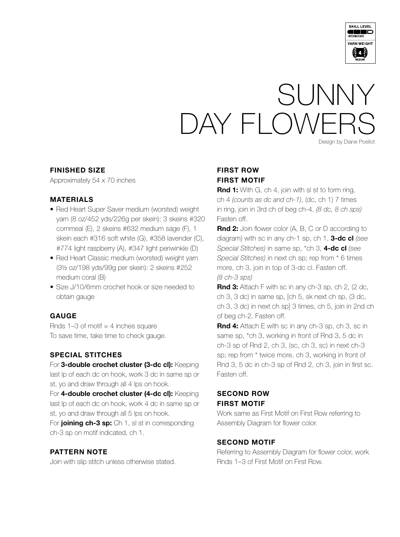

# Design by Diane Poellot SUNNY DAY FLOWER

## FINISHED SIZE

Approximately 54 x 70 inches

## MATERIALS

- Red Heart Super Saver medium (worsted) weight yarn (8 oz/452 yds/226g per skein): 3 skeins #320 cornmeal (E), 2 skeins #632 medium sage (F), 1 skein each #316 soft white (G), #358 lavender (C), #774 light raspberry (A), #347 light periwinkle (D)
- Red Heart Classic medium (worsted) weight yarn (31/2 oz/198 yds/99g per skein): 2 skeins #252 medium coral (B)
- Size J/10/6mm crochet hook or size needed to obtain gauge

## GAUGE

Rnds  $1-3$  of motif = 4 inches square To save time, take time to check gauge.

## SPECIAL STITCHES

For 3-double crochet cluster (3-dc cl): Keeping last lp of each dc on hook, work 3 dc in same sp or st, yo and draw through all 4 lps on hook.

For 4-double crochet cluster (4-dc cl): Keeping last lp of each dc on hook, work 4 dc in same sp or st, yo and draw through all 5 lps on hook.

For **joining ch-3 sp:** Ch 1, sl st in corresponding ch-3 sp on motif indicated, ch 1.

## PATTERN NOTE

Join with slip stitch unless otherwise stated.

## FIRST ROW FIRST MOTIF

**Rnd 1:** With G, ch 4, join with sl st to form ring, ch 4 *(counts as dc and ch-1)*, (dc, ch 1) 7 times in ring, join in 3rd ch of beg ch-4. *(8 dc, 8 ch sps)* Fasten off.

**Rnd 2:** Join flower color (A, B, C or D according to diagram) with sc in any ch-1 sp, ch 1, 3-dc cl *(see Special Stitches)* in same sp, \*ch 3, 4-dc cl *(see Special Stitches)* in next ch sp; rep from \* 6 times more, ch 3, join in top of 3-dc cl. Fasten off. *(8 ch-3 sps)*

**Rnd 3:** Attach F with sc in any ch-3 sp, ch 2, (2 dc, ch 3, 3 dc) in same sp, [ch 5, sk next ch sp, (3 dc, ch 3, 3 dc) in next ch sp] 3 times, ch 5, join in 2nd ch of beg ch-2. Fasten off.

**Rnd 4:** Attach E with sc in any ch-3 sp, ch 3, sc in same sp, \*ch 3, working in front of Rnd 3, 5 dc in ch-3 sp of Rnd 2, ch 3, (sc, ch 3, sc) in next ch-3 sp; rep from \* twice more, ch 3, working in front of Rnd 3, 5 dc in ch-3 sp of Rnd 2, ch 3, join in first sc. Fasten off.

## SECOND ROW FIRST MOTIF

Work same as First Motif on First Row referring to Assembly Diagram for flower color.

## SECOND MOTIF

Referring to Assembly Diagram for flower color, work Rnds 1–3 of First Motif on First Row.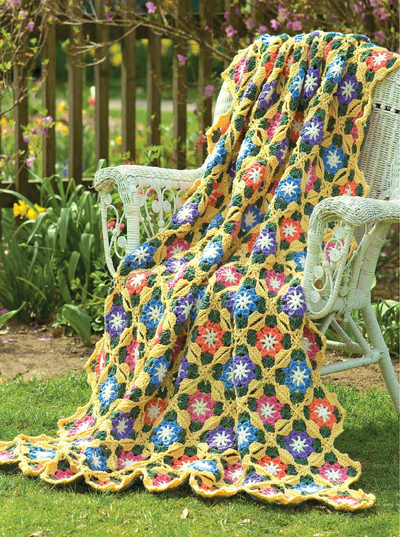